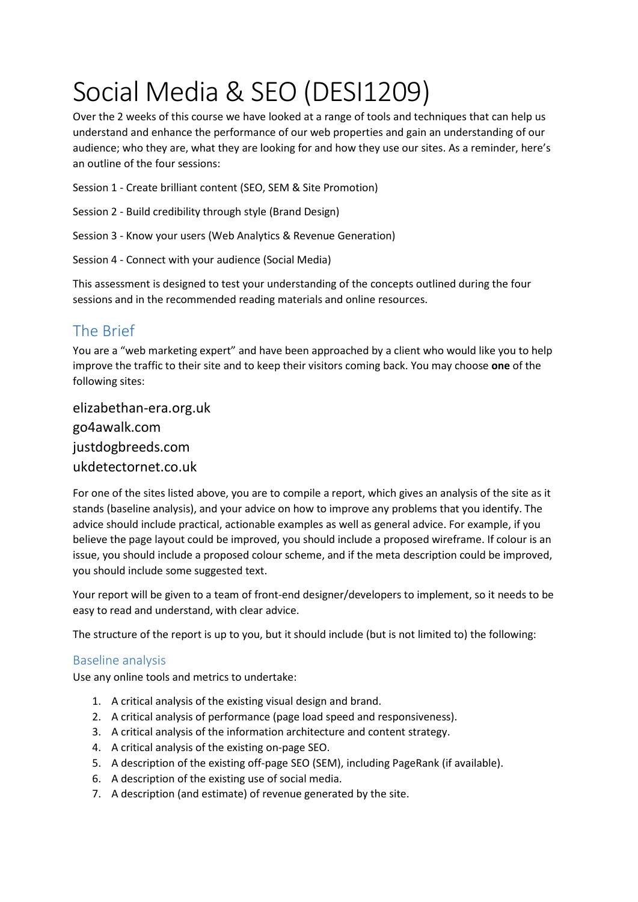# Social Media & SEO (DESI1209)

Over the 2 weeks of this course we have looked at a range of tools and techniques that can help us understand and enhance the performance of our web properties and gain an understanding of our audience; who they are, what they are looking for and how they use our sites. As a reminder, here's an outline of the four sessions:

Session 1 - Create brilliant content (SEO, SEM & Site Promotion)

- Session 2 Build credibility through style (Brand Design)
- Session 3 Know your users (Web Analytics & Revenue Generation)
- Session 4 Connect with your audience (Social Media)

This assessment is designed to test your understanding of the concepts outlined during the four sessions and in the recommended reading materials and online resources.

## The Brief

You are a "web marketing expert" and have been approached by a client who would like you to help improve the traffic to their site and to keep their visitors coming back. You may choose **one** of the following sites:

elizabethan-era.org.uk go4awalk.com justdogbreeds.com ukdetectornet.co.uk

For one of the sites listed above, you are to compile a report, which gives an analysis of the site as it stands (baseline analysis), and your advice on how to improve any problems that you identify. The advice should include practical, actionable examples as well as general advice. For example, if you believe the page layout could be improved, you should include a proposed wireframe. If colour is an issue, you should include a proposed colour scheme, and if the meta description could be improved, you should include some suggested text.

Your report will be given to a team of front-end designer/developers to implement, so it needs to be easy to read and understand, with clear advice.

The structure of the report is up to you, but it should include (but is not limited to) the following:

### Baseline analysis

Use any online tools and metrics to undertake:

- 1. A critical analysis of the existing visual design and brand.
- 2. A critical analysis of performance (page load speed and responsiveness).
- 3. A critical analysis of the information architecture and content strategy.
- 4. A critical analysis of the existing on-page SEO.
- 5. A description of the existing off-page SEO (SEM), including PageRank (if available).
- 6. A description of the existing use of social media.
- 7. A description (and estimate) of revenue generated by the site.